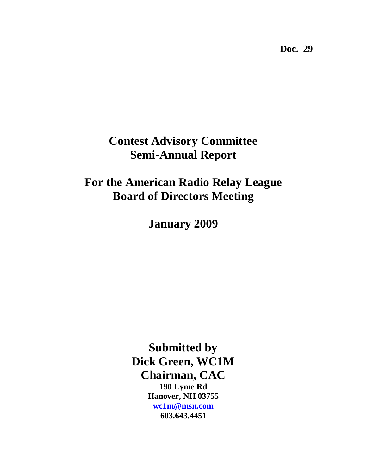**Doc. 29** 

# **Contest Advisory Committee Semi-Annual Report**

**For the American Radio Relay League Board of Directors Meeting**

**January 2009**

**Submitted by Dick Green, WC1M Chairman, CAC 190 Lyme Rd Hanover, NH 03755 [wc1m@msn.com](mailto:wc1m@msn.com) 603.643.4451**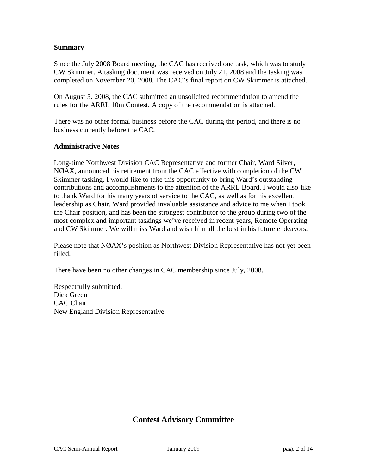#### **Summary**

Since the July 2008 Board meeting, the CAC has received one task, which was to study CW Skimmer. A tasking document was received on July 21, 2008 and the tasking was completed on November 20, 2008. The CAC's final report on CW Skimmer is attached.

On August 5. 2008, the CAC submitted an unsolicited recommendation to amend the rules for the ARRL 10m Contest. A copy of the recommendation is attached.

There was no other formal business before the CAC during the period, and there is no business currently before the CAC.

#### **Administrative Notes**

Long-time Northwest Division CAC Representative and former Chair, Ward Silver, NØAX, announced his retirement from the CAC effective with completion of the CW Skimmer tasking. I would like to take this opportunity to bring Ward's outstanding contributions and accomplishments to the attention of the ARRL Board. I would also like to thank Ward for his many years of service to the CAC, as well as for his excellent leadership as Chair. Ward provided invaluable assistance and advice to me when I took the Chair position, and has been the strongest contributor to the group during two of the most complex and important taskings we've received in recent years, Remote Operating and CW Skimmer. We will miss Ward and wish him all the best in his future endeavors.

Please note that NØAX's position as Northwest Division Representative has not yet been filled.

There have been no other changes in CAC membership since July, 2008.

Respectfully submitted, Dick Green CAC Chair New England Division Representative

### **Contest Advisory Committee**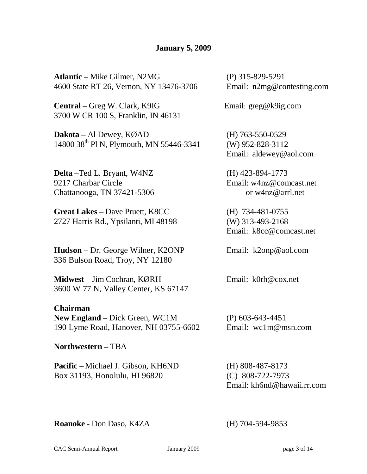### **January 5, 2009**

**Atlantic** – Mike Gilmer, N2MG (P) 315-829-5291 4600 State RT 26, Vernon, NY 13476-3706 Email: [n2mg@contesting.com](mailto:n2mg@contesting.com)

**Central** – Greg W. Clark, K9IG Email: greg@k9ig.com 3700 W CR 100 S, Franklin, IN 46131

**Dakota** – Al Dewey, KØAD (H) 763-550-0529 14800 38th Pl N, Plymouth, MN 55446-3341 (W) 952-828-3112

**Delta** –Ted L. Bryant, W4NZ (H) 423-894-1773 9217 Charbar Circle Email: w4nz@comcast.net Chattanooga, TN 37421-5306 or [w4nz@arrl.net](mailto:w4nz@arrl.net)

**Great Lakes** – Dave Pruett, K8CC (H) 734-481-0755 2727 Harris Rd., Ypsilanti, MI 48198 (W) 313-493-2168

**Hudson –** Dr. George Wilner, K2ONP Email: k2onp@aol.com 336 Bulson Road, Troy, NY 12180

**Midwest** – Jim Cochran, KØRH Email: [k0rh@cox.net](mailto:k0rh@cox.net) 3600 W 77 N, Valley Center, KS 67147

**Chairman New England** – Dick Green, WC1M (P) 603-643-4451 190 Lyme Road, Hanover, NH 03755-6602 Email: [wc1m@m](mailto:wc1m@)sn.com

**Northwestern –** TBA

**Pacific** – Michael J. Gibson, KH6ND (H) 808-487-8173 Box 31193, Honolulu, HI 96820 (C) 808-722-7973

Email: aldewey@aol.com

Email: [k8cc@comcast.net](mailto:k8cc@comcast.net)

Email: kh6nd@hawaii.rr.com

**Roanoke** - Don Daso, K4ZA (H) 704-594-9853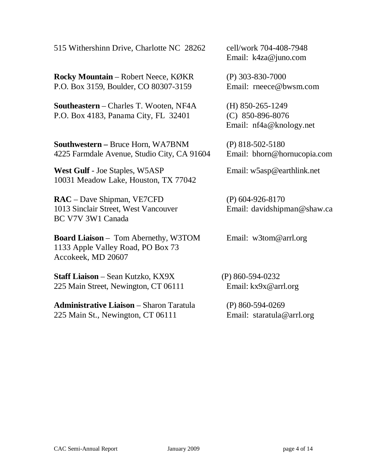515 Withershinn Drive, Charlotte NC 28262 cell/work 704-408-7948

**Rocky Mountain** – Robert Neece, KØKR (P) 303-830-7000 P.O. Box 3159, Boulder, CO 80307-3159 Email: rneece@bwsm.com

**Southeastern** – Charles T. Wooten, NF4A (H) 850-265-1249 P.O. Box 4183, Panama City, FL 32401 (C) 850-896-8076

**Southwestern –** Bruce Horn, WA7BNM (P) 818-502-5180 4225 Farmdale Avenue, Studio City, CA 91604 Email: bhorn@hornucopia.com

**West Gulf** - Joe Staples, W5ASP Email: w5asp@earthlink.net 10031 Meadow Lake, Houston, TX 77042

**RAC** – Dave Shipman, VE7CFD (P) 604-926-8170 1013 Sinclair Street, West Vancouver Email: davidshipman@shaw.ca BC V7V 3W1 Canada

**Board Liaison** – Tom Abernethy, W3TOM Email: w3tom@arrl.org 1133 Apple Valley Road, PO Box 73 Accokeek, MD 20607

**Staff Liaison** – Sean Kutzko, KX9X (P) 860-594-0232 225 Main Street, Newington, CT 06111 Email: kx9x@arrl.org

**Administrative Liaison** – Sharon Taratula (P) 860-594-0269 225 Main St., Newington, CT 06111 Email: staratula@arrl.org

Email: k4za@juno.com

Email: [nf4a@knology.net](mailto:nf4a@knology.net)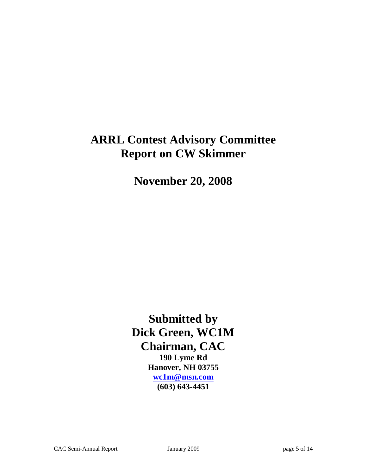# **ARRL Contest Advisory Committee Report on CW Skimmer**

**November 20, 2008**

**Submitted by Dick Green, WC1M Chairman, CAC 190 Lyme Rd Hanover, NH 03755 [wc1m@msn.com](mailto:wc1m@msn.com) (603) 643-4451**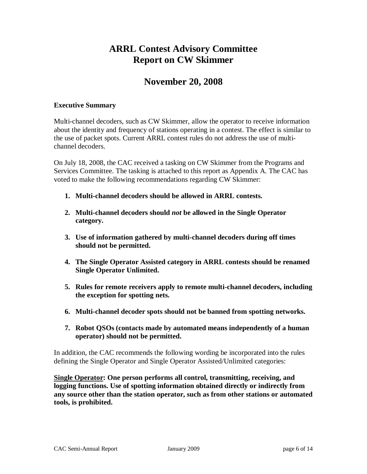## **ARRL Contest Advisory Committee Report on CW Skimmer**

## **November 20, 2008**

#### **Executive Summary**

Multi-channel decoders, such as CW Skimmer, allow the operator to receive information about the identity and frequency of stations operating in a contest. The effect is similar to the use of packet spots. Current ARRL contest rules do not address the use of multichannel decoders.

On July 18, 2008, the CAC received a tasking on CW Skimmer from the Programs and Services Committee. The tasking is attached to this report as Appendix A. The CAC has voted to make the following recommendations regarding CW Skimmer:

- **1. Multi-channel decoders should be allowed in ARRL contests.**
- **2. Multi-channel decoders should** *not* **be allowed in the Single Operator category.**
- **3. Use of information gathered by multi-channel decoders during off times should not be permitted.**
- **4. The Single Operator Assisted category in ARRL contests should be renamed Single Operator Unlimited.**
- **5. Rules for remote receivers apply to remote multi-channel decoders, including the exception for spotting nets.**
- **6. Multi-channel decoder spots should not be banned from spotting networks.**
- **7. Robot QSOs (contacts made by automated means independently of a human operator) should not be permitted.**

In addition, the CAC recommends the following wording be incorporated into the rules defining the Single Operator and Single Operator Assisted/Unlimited categories:

**Single Operator: One person performs all control, transmitting, receiving, and logging functions. Use of spotting information obtained directly or indirectly from any source other than the station operator, such as from other stations or automated tools, is prohibited.**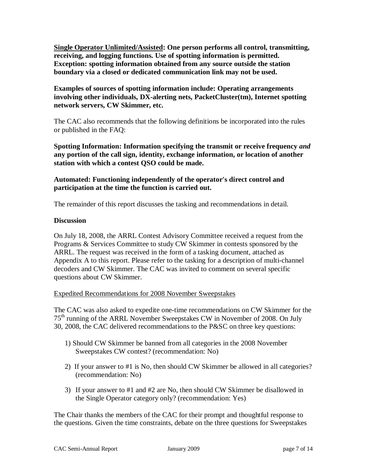**Single Operator Unlimited/Assisted: One person performs all control, transmitting, receiving, and logging functions. Use of spotting information is permitted. Exception: spotting information obtained from any source outside the station boundary via a closed or dedicated communication link may not be used.**

**Examples of sources of spotting information include: Operating arrangements involving other individuals, DX-alerting nets, PacketCluster(tm), Internet spotting network servers, CW Skimmer, etc.**

The CAC also recommends that the following definitions be incorporated into the rules or published in the FAQ:

**Spotting Information: Information specifying the transmit or receive frequency** *and* **any portion of the call sign, identity, exchange information, or location of another station with which a contest QSO could be made.** 

#### **Automated: Functioning independently of the operator's direct control and participation at the time the function is carried out.**

The remainder of this report discusses the tasking and recommendations in detail.

#### **Discussion**

On July 18, 2008, the ARRL Contest Advisory Committee received a request from the Programs & Services Committee to study CW Skimmer in contests sponsored by the ARRL. The request was received in the form of a tasking document, attached as Appendix A to this report. Please refer to the tasking for a description of multi-channel decoders and CW Skimmer. The CAC was invited to comment on several specific questions about CW Skimmer.

#### Expedited Recommendations for 2008 November Sweepstakes

The CAC was also asked to expedite one-time recommendations on CW Skimmer for the 75<sup>th</sup> running of the ARRL November Sweepstakes CW in November of 2008. On July 30, 2008, the CAC delivered recommendations to the P&SC on three key questions:

- 1) Should CW Skimmer be banned from all categories in the 2008 November Sweepstakes CW contest? (recommendation: No)
- 2) If your answer to #1 is No, then should CW Skimmer be allowed in all categories? (recommendation: No)
- 3) If your answer to #1 and #2 are No, then should CW Skimmer be disallowed in the Single Operator category only? (recommendation: Yes)

The Chair thanks the members of the CAC for their prompt and thoughtful response to the questions. Given the time constraints, debate on the three questions for Sweepstakes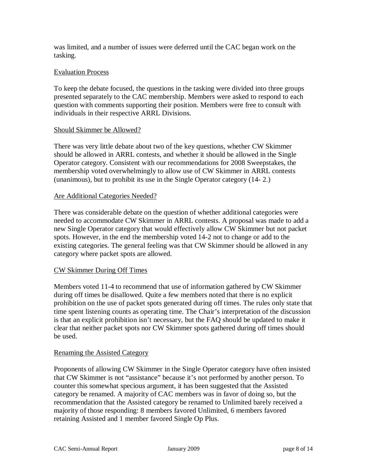was limited, and a number of issues were deferred until the CAC began work on the tasking.

#### Evaluation Process

To keep the debate focused, the questions in the tasking were divided into three groups presented separately to the CAC membership. Members were asked to respond to each question with comments supporting their position. Members were free to consult with individuals in their respective ARRL Divisions.

#### Should Skimmer be Allowed?

There was very little debate about two of the key questions, whether CW Skimmer should be allowed in ARRL contests, and whether it should be allowed in the Single Operator category. Consistent with our recommendations for 2008 Sweepstakes, the membership voted overwhelmingly to allow use of CW Skimmer in ARRL contests (unanimous), but to prohibit its use in the Single Operator category (14- 2.)

#### Are Additional Categories Needed?

There was considerable debate on the question of whether additional categories were needed to accommodate CW Skimmer in ARRL contests. A proposal was made to add a new Single Operator category that would effectively allow CW Skimmer but not packet spots. However, in the end the membership voted 14-2 not to change or add to the existing categories. The general feeling was that CW Skimmer should be allowed in any category where packet spots are allowed.

#### CW Skimmer During Off Times

Members voted 11-4 to recommend that use of information gathered by CW Skimmer during off times be disallowed. Quite a few members noted that there is no explicit prohibition on the use of packet spots generated during off times. The rules only state that time spent listening counts as operating time. The Chair's interpretation of the discussion is that an explicit prohibition isn't necessary, but the FAQ should be updated to make it clear that neither packet spots nor CW Skimmer spots gathered during off times should be used.

#### Renaming the Assisted Category

Proponents of allowing CW Skimmer in the Single Operator category have often insisted that CW Skimmer is not "assistance" because it's not performed by another person. To counter this somewhat specious argument, it has been suggested that the Assisted category be renamed. A majority of CAC members was in favor of doing so, but the recommendation that the Assisted category be renamed to Unlimited barely received a majority of those responding: 8 members favored Unlimited, 6 members favored retaining Assisted and 1 member favored Single Op Plus.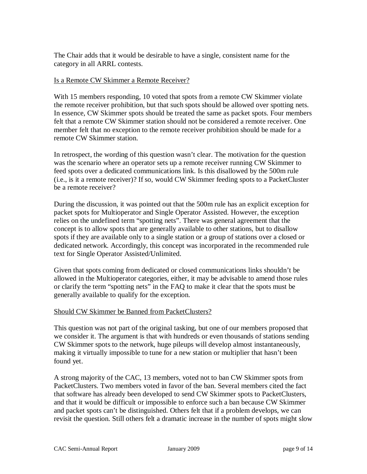The Chair adds that it would be desirable to have a single, consistent name for the category in all ARRL contests.

#### Is a Remote CW Skimmer a Remote Receiver?

With 15 members responding, 10 voted that spots from a remote CW Skimmer violate the remote receiver prohibition, but that such spots should be allowed over spotting nets. In essence, CW Skimmer spots should be treated the same as packet spots. Four members felt that a remote CW Skimmer station should not be considered a remote receiver. One member felt that no exception to the remote receiver prohibition should be made for a remote CW Skimmer station.

In retrospect, the wording of this question wasn't clear. The motivation for the question was the scenario where an operator sets up a remote receiver running CW Skimmer to feed spots over a dedicated communications link. Is this disallowed by the 500m rule (i.e., is it a remote receiver)? If so, would CW Skimmer feeding spots to a PacketCluster be a remote receiver?

During the discussion, it was pointed out that the 500m rule has an explicit exception for packet spots for Multioperator and Single Operator Assisted. However, the exception relies on the undefined term "spotting nets". There was general agreement that the concept is to allow spots that are generally available to other stations, but to disallow spots if they are available only to a single station or a group of stations over a closed or dedicated network. Accordingly, this concept was incorporated in the recommended rule text for Single Operator Assisted/Unlimited.

Given that spots coming from dedicated or closed communications links shouldn't be allowed in the Multioperator categories, either, it may be advisable to amend those rules or clarify the term "spotting nets" in the FAQ to make it clear that the spots must be generally available to qualify for the exception.

#### Should CW Skimmer be Banned from PacketClusters?

This question was not part of the original tasking, but one of our members proposed that we consider it. The argument is that with hundreds or even thousands of stations sending CW Skimmer spots to the network, huge pileups will develop almost instantaneously, making it virtually impossible to tune for a new station or multiplier that hasn't been found yet.

A strong majority of the CAC, 13 members, voted not to ban CW Skimmer spots from PacketClusters. Two members voted in favor of the ban. Several members cited the fact that software has already been developed to send CW Skimmer spots to PacketClusters, and that it would be difficult or impossible to enforce such a ban because CW Skimmer and packet spots can't be distinguished. Others felt that if a problem develops, we can revisit the question. Still others felt a dramatic increase in the number of spots might slow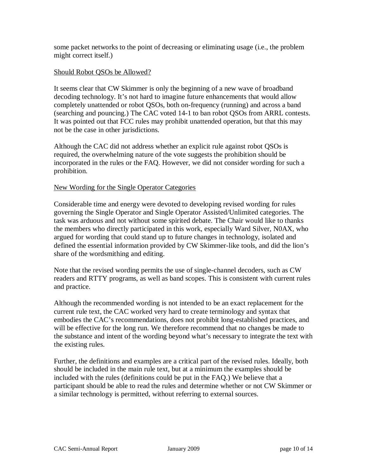some packet networks to the point of decreasing or eliminating usage (i.e., the problem might correct itself.)

#### Should Robot QSOs be Allowed?

It seems clear that CW Skimmer is only the beginning of a new wave of broadband decoding technology. It's not hard to imagine future enhancements that would allow completely unattended or robot QSOs, both on-frequency (running) and across a band (searching and pouncing.) The CAC voted 14-1 to ban robot QSOs from ARRL contests. It was pointed out that FCC rules may prohibit unattended operation, but that this may not be the case in other jurisdictions.

Although the CAC did not address whether an explicit rule against robot QSOs is required, the overwhelming nature of the vote suggests the prohibition should be incorporated in the rules or the FAQ. However, we did not consider wording for such a prohibition.

#### New Wording for the Single Operator Categories

Considerable time and energy were devoted to developing revised wording for rules governing the Single Operator and Single Operator Assisted/Unlimited categories. The task was arduous and not without some spirited debate. The Chair would like to thanks the members who directly participated in this work, especially Ward Silver, N0AX, who argued for wording that could stand up to future changes in technology, isolated and defined the essential information provided by CW Skimmer-like tools, and did the lion's share of the wordsmithing and editing.

Note that the revised wording permits the use of single-channel decoders, such as CW readers and RTTY programs, as well as band scopes. This is consistent with current rules and practice.

Although the recommended wording is not intended to be an exact replacement for the current rule text, the CAC worked very hard to create terminology and syntax that embodies the CAC's recommendations, does not prohibit long-established practices, and will be effective for the long run. We therefore recommend that no changes be made to the substance and intent of the wording beyond what's necessary to integrate the text with the existing rules.

Further, the definitions and examples are a critical part of the revised rules. Ideally, both should be included in the main rule text, but at a minimum the examples should be included with the rules (definitions could be put in the FAQ.) We believe that a participant should be able to read the rules and determine whether or not CW Skimmer or a similar technology is permitted, without referring to external sources.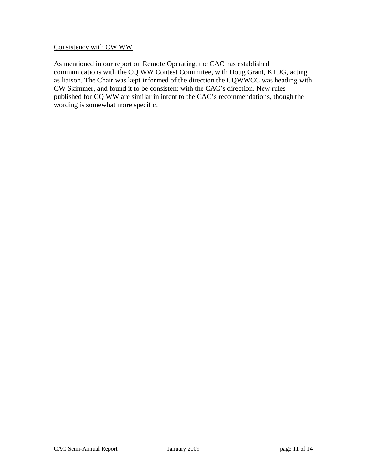#### Consistency with CW WW

As mentioned in our report on Remote Operating, the CAC has established communications with the CQ WW Contest Committee, with Doug Grant, K1DG, acting as liaison. The Chair was kept informed of the direction the CQWWCC was heading with CW Skimmer, and found it to be consistent with the CAC's direction. New rules published for CQ WW are similar in intent to the CAC's recommendations, though the wording is somewhat more specific.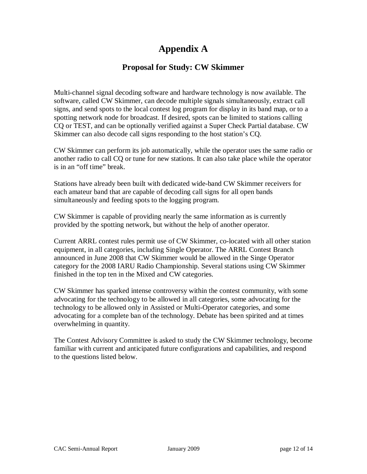# **Appendix A**

### **Proposal for Study: CW Skimmer**

Multi-channel signal decoding software and hardware technology is now available. The software, called CW Skimmer, can decode multiple signals simultaneously, extract call signs, and send spots to the local contest log program for display in its band map, or to a spotting network node for broadcast. If desired, spots can be limited to stations calling CQ or TEST, and can be optionally verified against a Super Check Partial database. CW Skimmer can also decode call signs responding to the host station's CQ.

CW Skimmer can perform its job automatically, while the operator uses the same radio or another radio to call CQ or tune for new stations. It can also take place while the operator is in an "off time" break.

Stations have already been built with dedicated wide-band CW Skimmer receivers for each amateur band that are capable of decoding call signs for all open bands simultaneously and feeding spots to the logging program.

CW Skimmer is capable of providing nearly the same information as is currently provided by the spotting network, but without the help of another operator.

Current ARRL contest rules permit use of CW Skimmer, co-located with all other station equipment, in all categories, including Single Operator. The ARRL Contest Branch announced in June 2008 that CW Skimmer would be allowed in the Singe Operator category for the 2008 IARU Radio Championship. Several stations using CW Skimmer finished in the top ten in the Mixed and CW categories.

CW Skimmer has sparked intense controversy within the contest community, with some advocating for the technology to be allowed in all categories, some advocating for the technology to be allowed only in Assisted or Multi-Operator categories, and some advocating for a complete ban of the technology. Debate has been spirited and at times overwhelming in quantity.

The Contest Advisory Committee is asked to study the CW Skimmer technology, become familiar with current and anticipated future configurations and capabilities, and respond to the questions listed below.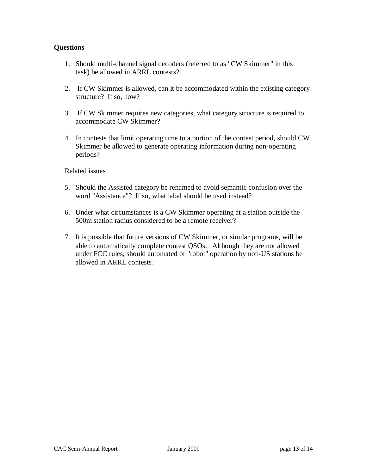#### **Questions**

- 1. Should multi-channel signal decoders (referred to as "CW Skimmer" in this task) be allowed in ARRL contests?
- 2. If CW Skimmer is allowed, can it be accommodated within the existing category structure? If so, how?
- 3. If CW Skimmer requires new categories, what category structure is required to accommodate CW Skimmer?
- 4. In contests that limit operating time to a portion of the contest period, should CW Skimmer be allowed to generate operating information during non-operating periods?

#### Related issues

- 5. Should the Assisted category be renamed to avoid semantic confusion over the word "Assistance"? If so, what label should be used instead?
- 6. Under what circumstances is a CW Skimmer operating at a station outside the 500m station radius considered to be a remote receiver?
- 7. It is possible that future versions of CW Skimmer, or similar programs, will be able to automatically complete contest QSOs. Although they are not allowed under FCC rules, should automated or "robot" operation by non-US stations be allowed in ARRL contests?